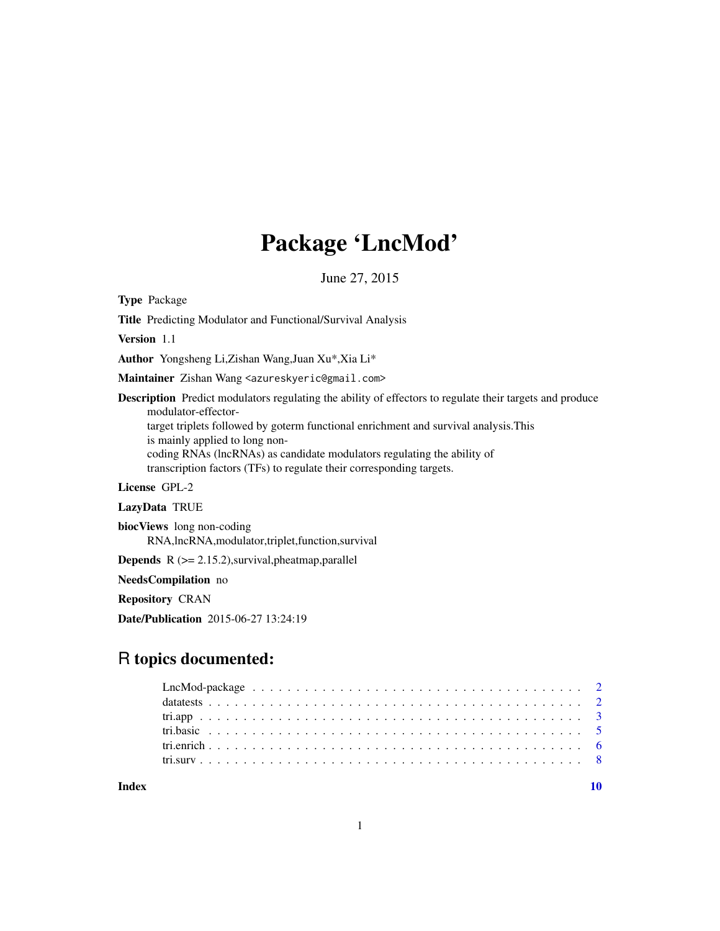## Package 'LncMod'

June 27, 2015

<span id="page-0-0"></span>Type Package

Title Predicting Modulator and Functional/Survival Analysis

Version 1.1

Author Yongsheng Li,Zishan Wang,Juan Xu\*,Xia Li\*

Maintainer Zishan Wang <azureskyeric@gmail.com>

Description Predict modulators regulating the ability of effectors to regulate their targets and produce modulator-effectortarget triplets followed by goterm functional enrichment and survival analysis.This is mainly applied to long noncoding RNAs (lncRNAs) as candidate modulators regulating the ability of transcription factors (TFs) to regulate their corresponding targets.

License GPL-2

LazyData TRUE

biocViews long non-coding RNA,lncRNA,modulator,triplet,function,survival

Depends R (>= 2.15.2),survival,pheatmap,parallel

NeedsCompilation no

Repository CRAN

Date/Publication 2015-06-27 13:24:19

### R topics documented:

 $\blacksquare$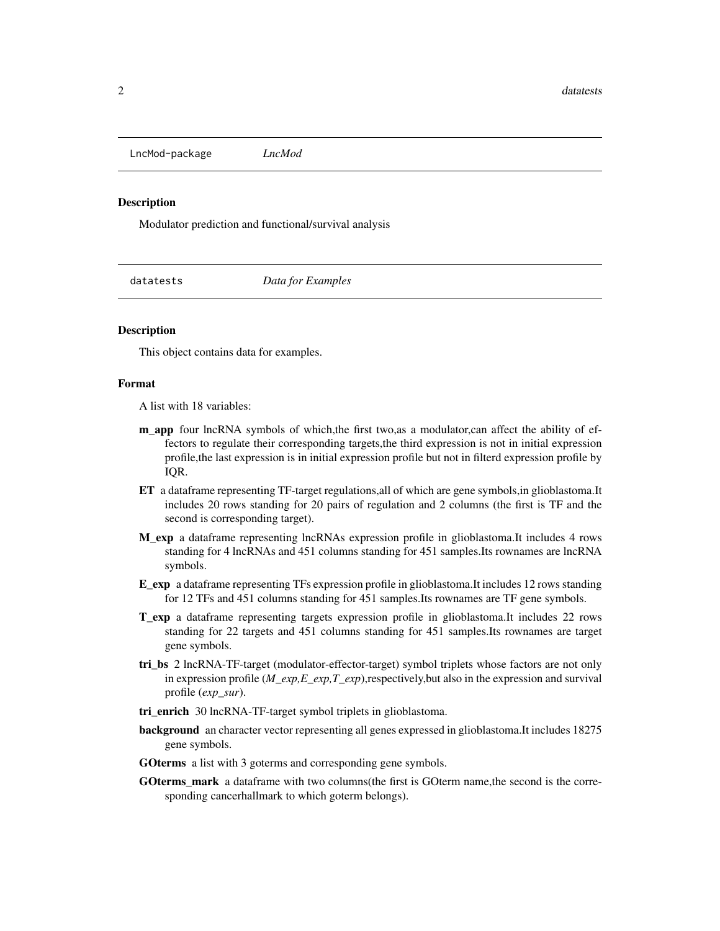<span id="page-1-0"></span>LncMod-package *LncMod*

#### Description

Modulator prediction and functional/survival analysis

datatests *Data for Examples*

#### **Description**

This object contains data for examples.

#### Format

A list with 18 variables:

- m\_app four lncRNA symbols of which,the first two,as a modulator,can affect the ability of effectors to regulate their corresponding targets,the third expression is not in initial expression profile,the last expression is in initial expression profile but not in filterd expression profile by IQR.
- ET a dataframe representing TF-target regulations,all of which are gene symbols,in glioblastoma.It includes 20 rows standing for 20 pairs of regulation and 2 columns (the first is TF and the second is corresponding target).
- M\_exp a dataframe representing lncRNAs expression profile in glioblastoma.It includes 4 rows standing for 4 lncRNAs and 451 columns standing for 451 samples.Its rownames are lncRNA symbols.
- E\_exp a dataframe representing TFs expression profile in glioblastoma.It includes 12 rows standing for 12 TFs and 451 columns standing for 451 samples.Its rownames are TF gene symbols.
- T\_exp a dataframe representing targets expression profile in glioblastoma.It includes 22 rows standing for 22 targets and 451 columns standing for 451 samples.Its rownames are target gene symbols.
- tri\_bs 2 lncRNA-TF-target (modulator-effector-target) symbol triplets whose factors are not only in expression profile (*M\_exp,E\_exp,T\_exp*),respectively,but also in the expression and survival profile (*exp\_sur*).
- tri\_enrich 30 lncRNA-TF-target symbol triplets in glioblastoma.
- background an character vector representing all genes expressed in glioblastoma.It includes 18275 gene symbols.
- GOterms a list with 3 goterms and corresponding gene symbols.
- GOterms\_mark a dataframe with two columns(the first is GOterm name,the second is the corresponding cancerhallmark to which goterm belongs).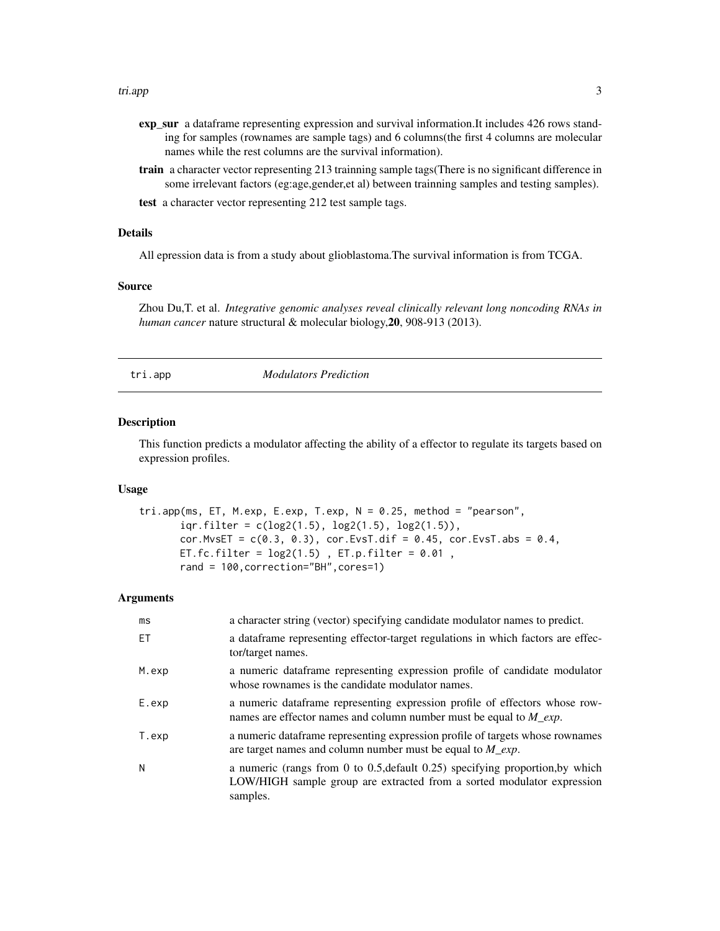#### <span id="page-2-0"></span>tri.app 3

- exp\_sur a dataframe representing expression and survival information.It includes 426 rows standing for samples (rownames are sample tags) and 6 columns(the first 4 columns are molecular names while the rest columns are the survival information).
- train a character vector representing 213 trainning sample tags(There is no significant difference in some irrelevant factors (eg:age,gender,et al) between trainning samples and testing samples).
- test a character vector representing 212 test sample tags.

#### Details

All epression data is from a study about glioblastoma.The survival information is from TCGA.

#### Source

Zhou Du,T. et al. *Integrative genomic analyses reveal clinically relevant long noncoding RNAs in human cancer* nature structural & molecular biology,20, 908-913 (2013).

tri.app *Modulators Prediction*

#### **Description**

This function predicts a modulator affecting the ability of a effector to regulate its targets based on expression profiles.

#### Usage

```
tri.app(ms, ET, M.exp, E.exp, T.exp, N = 0.25, method = "pearson",
      iqr.filter = c(log2(1.5), log2(1.5), log2(1.5)),cor.MvSET = c(0.3, 0.3), cor.EvST.dif = 0.45, cor.EvST.abs = 0.4,ET.fc.filter = log2(1.5), ET.p.filter = 0.01,
      rand = 100,correction="BH",cores=1)
```
#### Arguments

| ms    | a character string (vector) specifying candidate modulator names to predict.                                                                                        |
|-------|---------------------------------------------------------------------------------------------------------------------------------------------------------------------|
| FT.   | a dataframe representing effector-target regulations in which factors are effec-<br>tor/target names.                                                               |
| M.exp | a numeric data frame representing expression profile of candidate modulator<br>whose rownames is the candidate modulator names.                                     |
| E.exp | a numeric data frame representing expression profile of effectors whose row-<br>names are effector names and column number must be equal to $M_{\text{exp}}$ .      |
| T.exp | a numeric dataframe representing expression profile of targets whose rownames<br>are target names and column number must be equal to $M_{\text{exp}}$ .             |
| N     | a numeric (rangs from 0 to 0.5, default 0.25) specifying proportion, by which<br>LOW/HIGH sample group are extracted from a sorted modulator expression<br>samples. |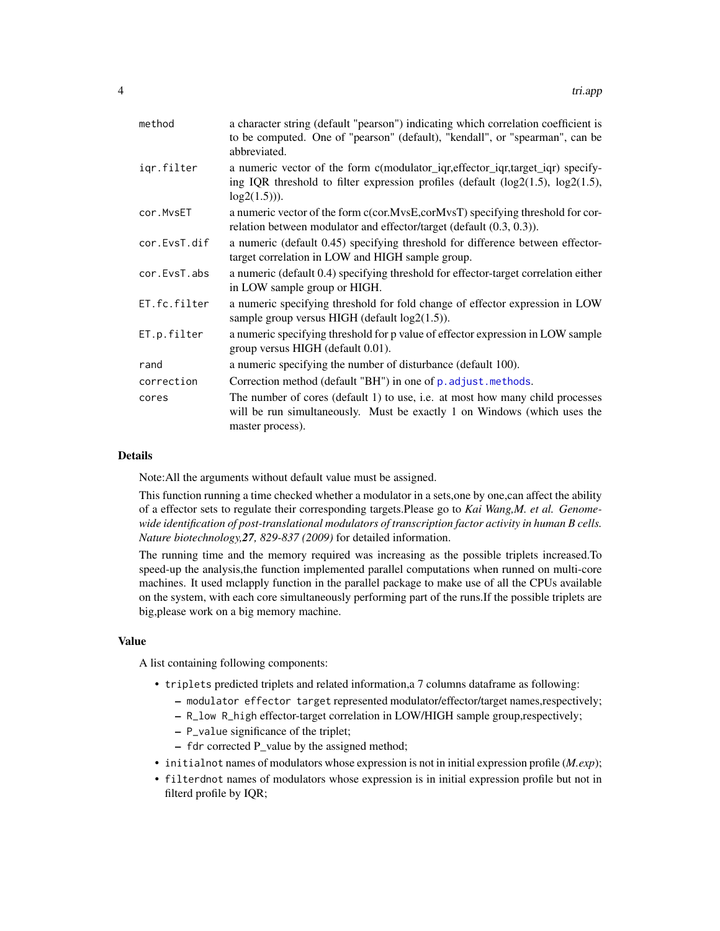<span id="page-3-0"></span>

| method       | a character string (default "pearson") indicating which correlation coefficient is<br>to be computed. One of "pearson" (default), "kendall", or "spearman", can be<br>abbreviated.    |
|--------------|---------------------------------------------------------------------------------------------------------------------------------------------------------------------------------------|
| igr.filter   | a numeric vector of the form c(modulator_iqr,effector_iqr,target_iqr) specify-<br>ing IQR threshold to filter expression profiles (default $(log2(1.5), log2(1.5),$<br>$log2(1.5))$ . |
| cor.MvsET    | a numeric vector of the form c(cor.MvsE,corMvsT) specifying threshold for cor-<br>relation between modulator and effector/target (default (0.3, 0.3)).                                |
| cor.EvsT.dif | a numeric (default 0.45) specifying threshold for difference between effector-<br>target correlation in LOW and HIGH sample group.                                                    |
| cor.EvsT.abs | a numeric (default 0.4) specifying threshold for effector-target correlation either<br>in LOW sample group or HIGH.                                                                   |
| ET.fc.filter | a numeric specifying threshold for fold change of effector expression in LOW<br>sample group versus HIGH (default $log2(1.5)$ ).                                                      |
| ET.p.filter  | a numeric specifying threshold for p value of effector expression in LOW sample<br>group versus HIGH (default 0.01).                                                                  |
| rand         | a numeric specifying the number of disturbance (default 100).                                                                                                                         |
| correction   | Correction method (default "BH") in one of p. adjust.methods.                                                                                                                         |
| cores        | The number of cores (default 1) to use, i.e. at most how many child processes<br>will be run simultaneously. Must be exactly 1 on Windows (which uses the<br>master process).         |

#### Details

Note:All the arguments without default value must be assigned.

This function running a time checked whether a modulator in a sets,one by one,can affect the ability of a effector sets to regulate their corresponding targets.Please go to *Kai Wang,M. et al. Genomewide identification of post-translational modulators of transcription factor activity in human B cells. Nature biotechnology,27, 829-837 (2009)* for detailed information.

The running time and the memory required was increasing as the possible triplets increased.To speed-up the analysis,the function implemented parallel computations when runned on multi-core machines. It used mclapply function in the parallel package to make use of all the CPUs available on the system, with each core simultaneously performing part of the runs.If the possible triplets are big,please work on a big memory machine.

#### Value

A list containing following components:

- triplets predicted triplets and related information,a 7 columns dataframe as following:
	- modulator effector target represented modulator/effector/target names,respectively;
	- R\_low R\_high effector-target correlation in LOW/HIGH sample group,respectively;
	- P\_value significance of the triplet;
	- fdr corrected P\_value by the assigned method;
- initialnot names of modulators whose expression is not in initial expression profile (*M.exp*);
- filterdnot names of modulators whose expression is in initial expression profile but not in filterd profile by IQR;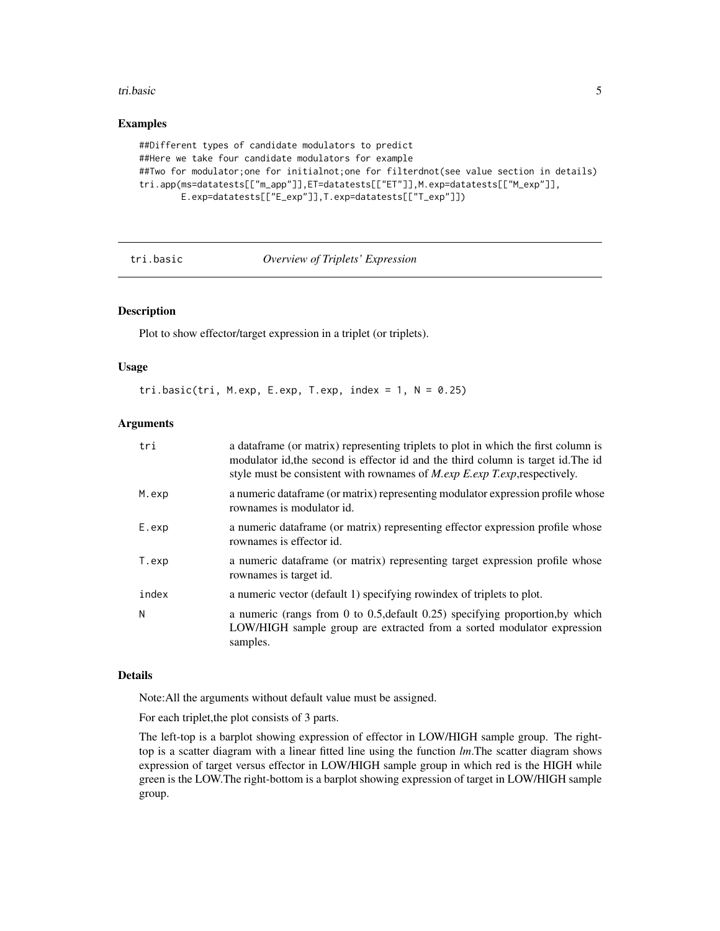#### <span id="page-4-0"></span>tri.basic 5

#### Examples

```
##Different types of candidate modulators to predict
##Here we take four candidate modulators for example
##Two for modulator;one for initialnot;one for filterdnot(see value section in details)
tri.app(ms=datatests[["m_app"]],ET=datatests[["ET"]],M.exp=datatests[["M_exp"]],
       E.exp=datatests[["E_exp"]],T.exp=datatests[["T_exp"]])
```
#### tri.basic *Overview of Triplets' Expression*

#### Description

Plot to show effector/target expression in a triplet (or triplets).

#### Usage

tri.basic(tri, M.exp, E.exp, T.exp, index = 1,  $N = 0.25$ )

#### **Arguments**

| tri   | a data frame (or matrix) representing triplets to plot in which the first column is<br>modulator id, the second is effector id and the third column is target id. The id<br>style must be consistent with rownames of <i>M.exp E.exp T.exp</i> , respectively. |
|-------|----------------------------------------------------------------------------------------------------------------------------------------------------------------------------------------------------------------------------------------------------------------|
| M.exp | a numeric dataframe (or matrix) representing modulator expression profile whose<br>rownames is modulator id.                                                                                                                                                   |
| E.exp | a numeric data frame (or matrix) representing effector expression profile whose<br>rownames is effector id.                                                                                                                                                    |
| T.exp | a numeric dataframe (or matrix) representing target expression profile whose<br>rownames is target id.                                                                                                                                                         |
| index | a numeric vector (default 1) specifying rowindex of triplets to plot.                                                                                                                                                                                          |
| N     | a numeric (rangs from 0 to 0.5, default 0.25) specifying proportion, by which<br>LOW/HIGH sample group are extracted from a sorted modulator expression<br>samples.                                                                                            |

#### Details

Note:All the arguments without default value must be assigned.

For each triplet,the plot consists of 3 parts.

The left-top is a barplot showing expression of effector in LOW/HIGH sample group. The righttop is a scatter diagram with a linear fitted line using the function *lm*.The scatter diagram shows expression of target versus effector in LOW/HIGH sample group in which red is the HIGH while green is the LOW.The right-bottom is a barplot showing expression of target in LOW/HIGH sample group.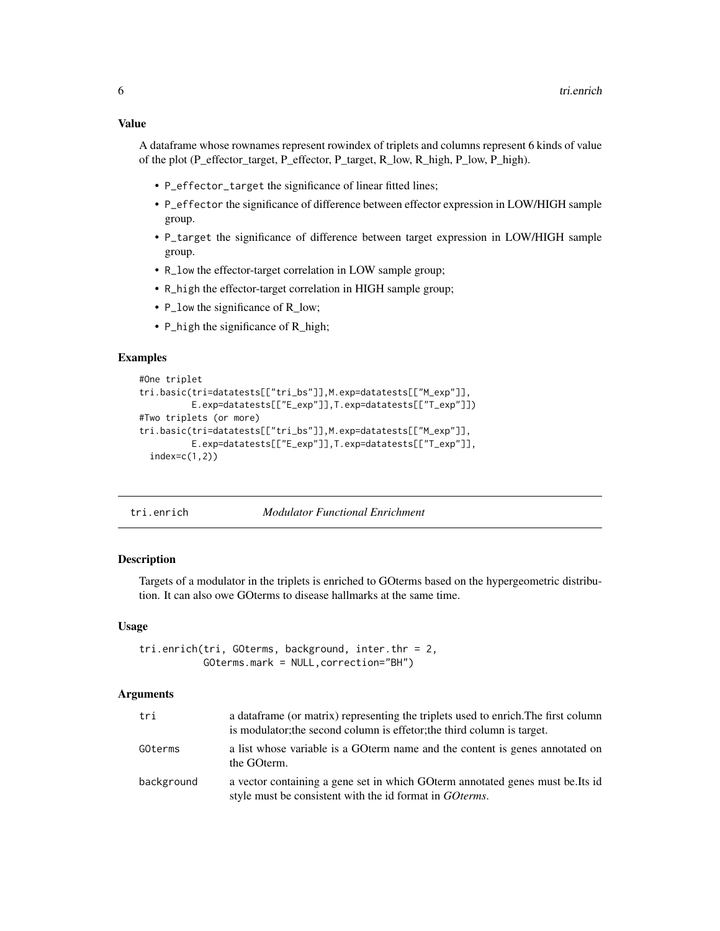<span id="page-5-0"></span>A dataframe whose rownames represent rowindex of triplets and columns represent 6 kinds of value of the plot (P\_effector\_target, P\_effector, P\_target, R\_low, R\_high, P\_low, P\_high).

- P\_effector\_target the significance of linear fitted lines;
- P\_effector the significance of difference between effector expression in LOW/HIGH sample group.
- P\_target the significance of difference between target expression in LOW/HIGH sample group.
- R\_low the effector-target correlation in LOW sample group;
- R\_high the effector-target correlation in HIGH sample group;
- P\_low the significance of R\_low;
- P\_high the significance of R\_high;

#### Examples

```
#One triplet
tri.basic(tri=datatests[["tri_bs"]],M.exp=datatests[["M_exp"]],
          E.exp=datatests[["E_exp"]],T.exp=datatests[["T_exp"]])
#Two triplets (or more)
tri.basic(tri=datatests[["tri_bs"]],M.exp=datatests[["M_exp"]],
         E.exp=datatests[["E_exp"]],T.exp=datatests[["T_exp"]],
 index=c(1,2)
```

| <b>Modulator Functional Enrichment</b><br>tri.enrich |
|------------------------------------------------------|
|------------------------------------------------------|

#### Description

Targets of a modulator in the triplets is enriched to GOterms based on the hypergeometric distribution. It can also owe GOterms to disease hallmarks at the same time.

#### Usage

```
tri.enrich(tri, GOterms, background, inter.thr = 2,
          GOterms.mark = NULL,correction="BH")
```
#### Arguments

| tri        | a data frame (or matrix) representing the triplets used to enrich. The first column<br>is modulator; the second column is effetor; the third column is target. |
|------------|----------------------------------------------------------------------------------------------------------------------------------------------------------------|
| GOterms    | a list whose variable is a GO term name and the content is genes annotated on<br>the GOterm.                                                                   |
| background | a vector containing a gene set in which GO term annotated genes must be. Its id<br>style must be consistent with the id format in <i>GO terms</i> .            |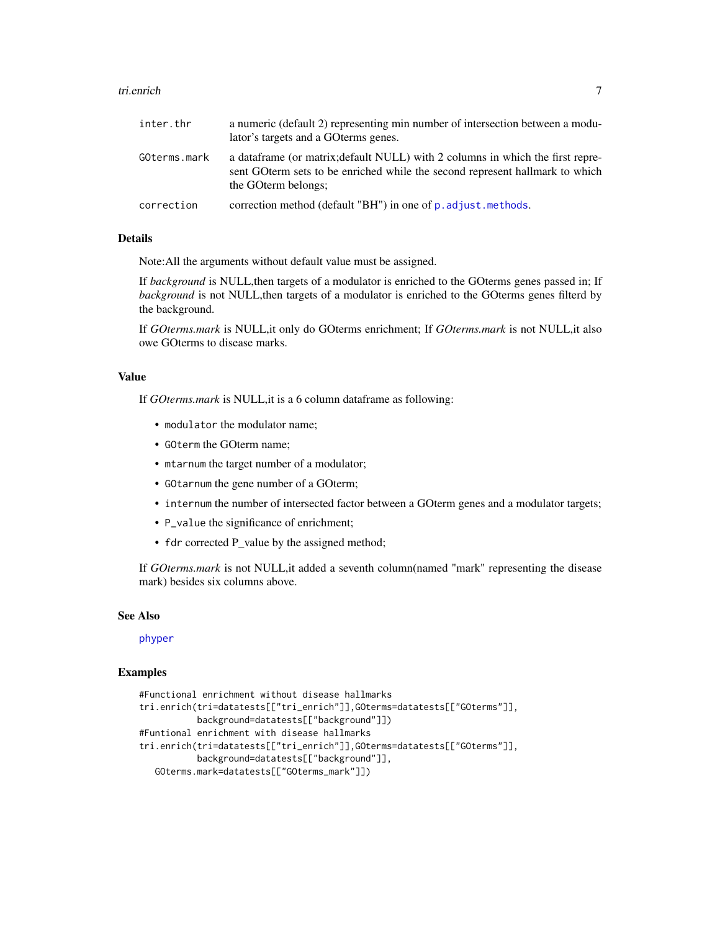#### <span id="page-6-0"></span>tri.enrich 7

| inter.thr    | a numeric (default 2) representing min number of intersection between a modu-<br>lator's targets and a GO terms genes.                                                                   |
|--------------|------------------------------------------------------------------------------------------------------------------------------------------------------------------------------------------|
| GOterms.mark | a data frame (or matrix; default NULL) with 2 columns in which the first repre-<br>sent GO term sets to be enriched while the second represent hallmark to which<br>the GO term belongs; |
| correction   | correction method (default "BH") in one of p. adjust. methods.                                                                                                                           |

#### Details

Note:All the arguments without default value must be assigned.

If *background* is NULL,then targets of a modulator is enriched to the GOterms genes passed in; If *background* is not NULL,then targets of a modulator is enriched to the GOterms genes filterd by the background.

If *GOterms.mark* is NULL,it only do GOterms enrichment; If *GOterms.mark* is not NULL,it also owe GOterms to disease marks.

#### Value

If *GOterms.mark* is NULL,it is a 6 column dataframe as following:

- modulator the modulator name;
- GOterm the GOterm name;
- mtarnum the target number of a modulator;
- GOtarnum the gene number of a GOterm;
- internum the number of intersected factor between a GOterm genes and a modulator targets;
- P\_value the significance of enrichment;
- fdr corrected P\_value by the assigned method;

If *GOterms.mark* is not NULL,it added a seventh column(named "mark" representing the disease mark) besides six columns above.

#### See Also

#### [phyper](#page-0-0)

#### Examples

```
#Functional enrichment without disease hallmarks
tri.enrich(tri=datatests[["tri_enrich"]],GOterms=datatests[["GOterms"]],
          background=datatests[["background"]])
#Funtional enrichment with disease hallmarks
tri.enrich(tri=datatests[["tri_enrich"]],GOterms=datatests[["GOterms"]],
          background=datatests[["background"]],
  GOterms.mark=datatests[["GOterms_mark"]])
```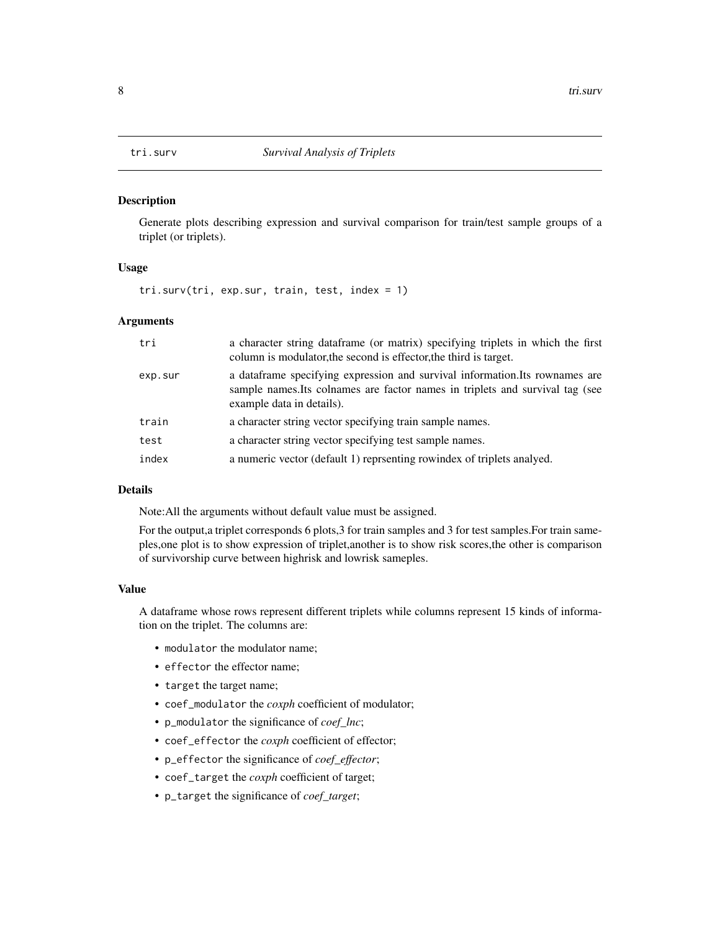<span id="page-7-0"></span>

#### Description

Generate plots describing expression and survival comparison for train/test sample groups of a triplet (or triplets).

#### Usage

tri.surv(tri, exp.sur, train, test, index = 1)

#### Arguments

| tri     | a character string dataframe (or matrix) specifying triplets in which the first<br>column is modulator, the second is effector, the third is target.                                        |
|---------|---------------------------------------------------------------------------------------------------------------------------------------------------------------------------------------------|
| exp.sur | a data frame specifying expression and survival information. Its rownames are<br>sample names. Its colnames are factor names in triplets and survival tag (see<br>example data in details). |
| train   | a character string vector specifying train sample names.                                                                                                                                    |
| test    | a character string vector specifying test sample names.                                                                                                                                     |
| index   | a numeric vector (default 1) reprsenting rowindex of triplets analyed.                                                                                                                      |

#### Details

Note:All the arguments without default value must be assigned.

For the output,a triplet corresponds 6 plots, 3 for train samples and 3 for test samples. For train sameples,one plot is to show expression of triplet,another is to show risk scores,the other is comparison of survivorship curve between highrisk and lowrisk sameples.

#### Value

A dataframe whose rows represent different triplets while columns represent 15 kinds of information on the triplet. The columns are:

- modulator the modulator name;
- effector the effector name;
- target the target name;
- coef\_modulator the *coxph* coefficient of modulator;
- p\_modulator the significance of *coef\_lnc*;
- coef\_effector the *coxph* coefficient of effector;
- p\_effector the significance of *coef\_effector*;
- coef\_target the *coxph* coefficient of target;
- p\_target the significance of *coef\_target*;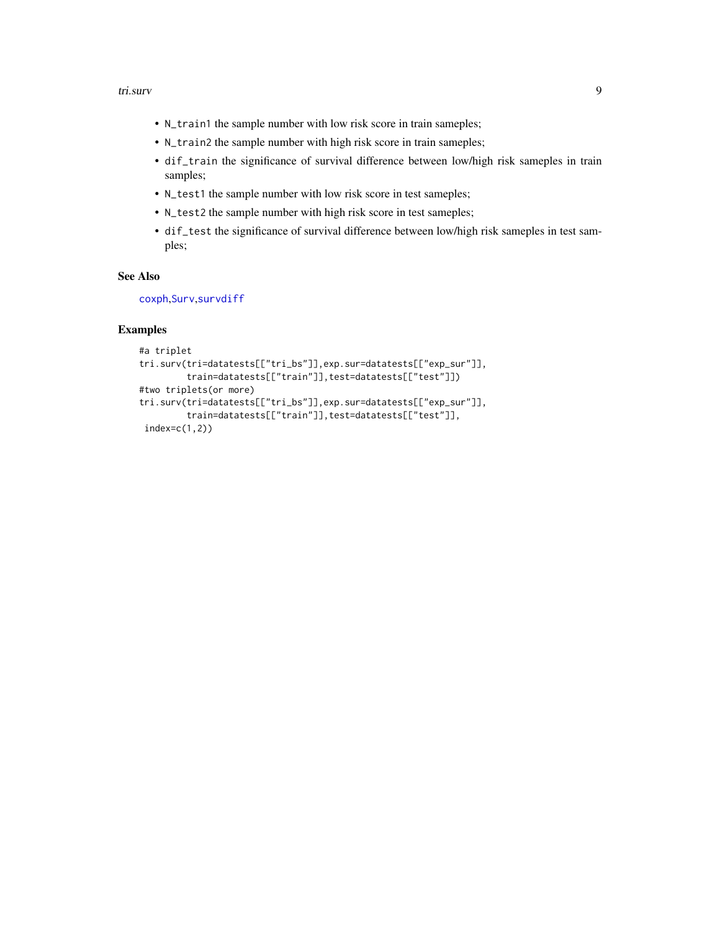#### <span id="page-8-0"></span>tri.surv 9

- N\_train1 the sample number with low risk score in train sameples;
- N\_train2 the sample number with high risk score in train sameples;
- dif\_train the significance of survival difference between low/high risk sameples in train samples;
- N\_test1 the sample number with low risk score in test sameples;
- N\_test2 the sample number with high risk score in test sameples;
- dif\_test the significance of survival difference between low/high risk sameples in test samples;

#### See Also

[coxph](#page-0-0),[Surv](#page-0-0),[survdiff](#page-0-0)

#### Examples

```
#a triplet
tri.surv(tri=datatests[["tri_bs"]],exp.sur=datatests[["exp_sur"]],
         train=datatests[["train"]],test=datatests[["test"]])
#two triplets(or more)
tri.surv(tri=datatests[["tri_bs"]],exp.sur=datatests[["exp_sur"]],
         train=datatests[["train"]],test=datatests[["test"]],
 index=c(1,2))
```